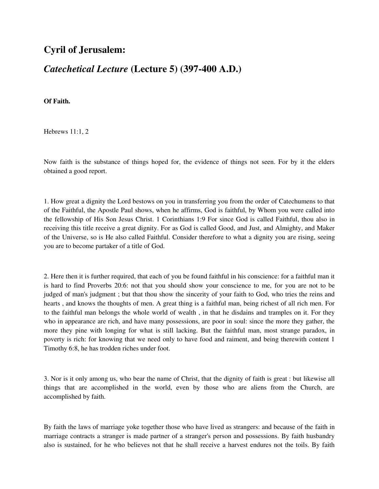## **Cyril of Jerusalem:**

## *Catechetical Lecture* **(Lecture 5) (397-400 A.D.)**

**Of Faith.** 

Hebrews 11:1, 2

Now faith is the substance of things hoped for, the evidence of things not seen. For by it the elders obtained a good report.

1. How great a dignity the Lord bestows on you in transferring you from the order of Catechumens to that of the Faithful, the Apostle Paul shows, when he affirms, God is faithful, by Whom you were called into the fellowship of His Son Jesus Christ. 1 Corinthians 1:9 For since God is called Faithful, thou also in receiving this title receive a great dignity. For as God is called Good, and Just, and Almighty, and Maker of the Universe, so is He also called Faithful. Consider therefore to what a dignity you are rising, seeing you are to become partaker of a title of God.

2. Here then it is further required, that each of you be found faithful in his conscience: for a faithful man it is hard to find Proverbs 20:6: not that you should show your conscience to me, for you are not to be judged of man's judgment ; but that thou show the sincerity of your faith to God, who tries the reins and hearts , and knows the thoughts of men. A great thing is a faithful man, being richest of all rich men. For to the faithful man belongs the whole world of wealth , in that he disdains and tramples on it. For they who in appearance are rich, and have many possessions, are poor in soul: since the more they gather, the more they pine with longing for what is still lacking. But the faithful man, most strange paradox, in poverty is rich: for knowing that we need only to have food and raiment, and being therewith content 1 Timothy 6:8, he has trodden riches under foot.

3. Nor is it only among us, who bear the name of Christ, that the dignity of faith is great : but likewise all things that are accomplished in the world, even by those who are aliens from the Church, are accomplished by faith.

By faith the laws of marriage yoke together those who have lived as strangers: and because of the faith in marriage contracts a stranger is made partner of a stranger's person and possessions. By faith husbandry also is sustained, for he who believes not that he shall receive a harvest endures not the toils. By faith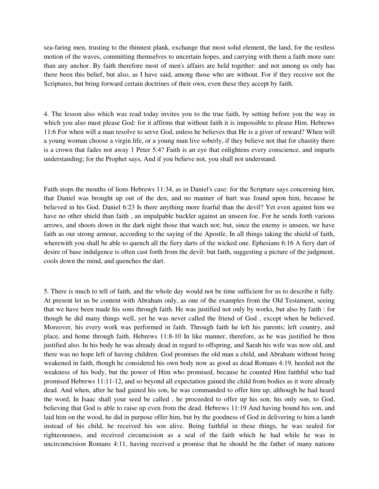sea-faring men, trusting to the thinnest plank, exchange that most solid element, the land, for the restless motion of the waves, committing themselves to uncertain hopes, and carrying with them a faith more sure than any anchor. By faith therefore most of men's affairs are held together: and not among us only has there been this belief, but also, as I have said, among those who are without. For if they receive not the Scriptures, but bring forward certain doctrines of their own, even these they accept by faith.

4. The lesson also which was read today invites you to the true faith, by setting before you the way in which you also must please God: for it affirms that without faith it is impossible to please Him. Hebrews 11:6 For when will a man resolve to serve God, unless he believes that He is a giver of reward? When will a young woman choose a virgin life, or a young man live soberly, if they believe not that for chastity there is a crown that fades not away 1 Peter 5:4? Faith is an eye that enlightens every conscience, and imparts understanding; for the Prophet says, And if you believe not, you shall not understand.

Faith stops the mouths of lions Hebrews 11:34, as in Daniel's case: for the Scripture says concerning him, that Daniel was brought up out of the den, and no manner of hurt was found upon him, because he believed in his God. Daniel 6:23 Is there anything more fearful than the devil? Yet even against him we have no other shield than faith , an impalpable buckler against an unseen foe. For he sends forth various arrows, and shoots down in the dark night those that watch not; but, since the enemy is unseen, we have faith as our strong armour, according to the saying of the Apostle, In all things taking the shield of faith, wherewith you shall be able to quench all the fiery darts of the wicked one. Ephesians 6:16 A fiery dart of desire of base indulgence is often cast forth from the devil: but faith, suggesting a picture of the judgment, cools down the mind, and quenches the dart.

5. There is much to tell of faith, and the whole day would not be time sufficient for us to describe it fully. At present let us be content with Abraham only, as one of the examples from the Old Testament, seeing that we have been made his sons through faith. He was justified not only by works, but also by faith : for though he did many things well, yet he was never called the friend of God , except when he believed. Moreover, his every work was performed in faith. Through faith he left his parents; left country, and place, and home through faith. Hebrews 11:8-10 In like manner, therefore, as he was justified be thou justified also. In his body he was already dead in regard to offspring, and Sarah his wife was now old, and there was no hope left of having children. God promises the old man a child, and Abraham without being weakened in faith, though he considered his own body now as good as dead Romans 4:19, heeded not the weakness of his body, but the power of Him who promised, because he counted Him faithful who had promised Hebrews 11:11-12, and so beyond all expectation gained the child from bodies as it were already dead. And when, after he had gained his son, he was commanded to offer him up, although he had heard the word, In Isaac shall your seed be called , he proceeded to offer up his son, his only son, to God, believing that God is able to raise up even from the dead. Hebrews 11:19 And having bound his son, and laid him on the wood, he did in purpose offer him, but by the goodness of God in delivering to him a lamb instead of his child, he received his son alive. Being faithful in these things, he was sealed for righteousness, and received circumcision as a seal of the faith which he had while he was in uncircumcision Romans 4:11, having received a promise that he should be the father of many nations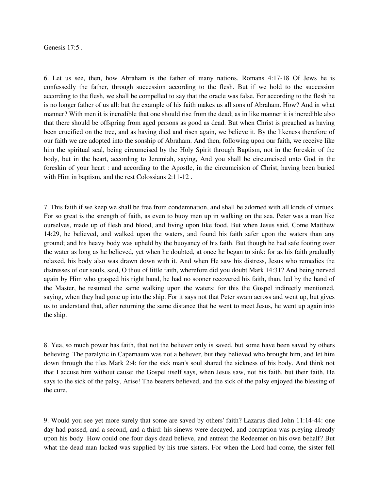Genesis 17:5 .

6. Let us see, then, how Abraham is the father of many nations. Romans 4:17-18 Of Jews he is confessedly the father, through succession according to the flesh. But if we hold to the succession according to the flesh, we shall be compelled to say that the oracle was false. For according to the flesh he is no longer father of us all: but the example of his faith makes us all sons of Abraham. How? And in what manner? With men it is incredible that one should rise from the dead; as in like manner it is incredible also that there should be offspring from aged persons as good as dead. But when Christ is preached as having been crucified on the tree, and as having died and risen again, we believe it. By the likeness therefore of our faith we are adopted into the sonship of Abraham. And then, following upon our faith, we receive like him the spiritual seal, being circumcised by the Holy Spirit through Baptism, not in the foreskin of the body, but in the heart, according to Jeremiah, saying, And you shall be circumcised unto God in the foreskin of your heart : and according to the Apostle, in the circumcision of Christ, having been buried with Him in baptism, and the rest Colossians 2:11-12.

7. This faith if we keep we shall be free from condemnation, and shall be adorned with all kinds of virtues. For so great is the strength of faith, as even to buoy men up in walking on the sea. Peter was a man like ourselves, made up of flesh and blood, and living upon like food. But when Jesus said, Come Matthew 14:29, he believed, and walked upon the waters, and found his faith safer upon the waters than any ground; and his heavy body was upheld by the buoyancy of his faith. But though he had safe footing over the water as long as he believed, yet when he doubted, at once he began to sink: for as his faith gradually relaxed, his body also was drawn down with it. And when He saw his distress, Jesus who remedies the distresses of our souls, said, O thou of little faith, wherefore did you doubt Mark 14:31? And being nerved again by Him who grasped his right hand, he had no sooner recovered his faith, than, led by the hand of the Master, he resumed the same walking upon the waters: for this the Gospel indirectly mentioned, saying, when they had gone up into the ship. For it says not that Peter swam across and went up, but gives us to understand that, after returning the same distance that he went to meet Jesus, he went up again into the ship.

8. Yea, so much power has faith, that not the believer only is saved, but some have been saved by others believing. The paralytic in Capernaum was not a believer, but they believed who brought him, and let him down through the tiles Mark 2:4: for the sick man's soul shared the sickness of his body. And think not that I accuse him without cause: the Gospel itself says, when Jesus saw, not his faith, but their faith, He says to the sick of the palsy, Arise! The bearers believed, and the sick of the palsy enjoyed the blessing of the cure.

9. Would you see yet more surely that some are saved by others' faith? Lazarus died John 11:14-44: one day had passed, and a second, and a third: his sinews were decayed, and corruption was preying already upon his body. How could one four days dead believe, and entreat the Redeemer on his own behalf? But what the dead man lacked was supplied by his true sisters. For when the Lord had come, the sister fell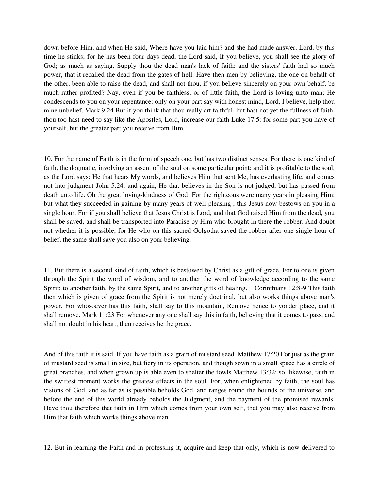down before Him, and when He said, Where have you laid him? and she had made answer, Lord, by this time he stinks; for he has been four days dead, the Lord said, If you believe, you shall see the glory of God; as much as saying, Supply thou the dead man's lack of faith: and the sisters' faith had so much power, that it recalled the dead from the gates of hell. Have then men by believing, the one on behalf of the other, been able to raise the dead, and shall not thou, if you believe sincerely on your own behalf, be much rather profited? Nay, even if you be faithless, or of little faith, the Lord is loving unto man; He condescends to you on your repentance: only on your part say with honest mind, Lord, I believe, help thou mine unbelief. Mark 9:24 But if you think that thou really art faithful, but hast not yet the fullness of faith, thou too hast need to say like the Apostles, Lord, increase our faith Luke 17:5: for some part you have of yourself, but the greater part you receive from Him.

10. For the name of Faith is in the form of speech one, but has two distinct senses. For there is one kind of faith, the dogmatic, involving an assent of the soul on some particular point: and it is profitable to the soul, as the Lord says: He that hears My words, and believes Him that sent Me, has everlasting life, and comes not into judgment John 5:24: and again, He that believes in the Son is not judged, but has passed from death unto life. Oh the great loving-kindness of God! For the righteous were many years in pleasing Him: but what they succeeded in gaining by many years of well-pleasing , this Jesus now bestows on you in a single hour. For if you shall believe that Jesus Christ is Lord, and that God raised Him from the dead, you shall be saved, and shall be transported into Paradise by Him who brought in there the robber. And doubt not whether it is possible; for He who on this sacred Golgotha saved the robber after one single hour of belief, the same shall save you also on your believing.

11. But there is a second kind of faith, which is bestowed by Christ as a gift of grace. For to one is given through the Spirit the word of wisdom, and to another the word of knowledge according to the same Spirit: to another faith, by the same Spirit, and to another gifts of healing. 1 Corinthians 12:8-9 This faith then which is given of grace from the Spirit is not merely doctrinal, but also works things above man's power. For whosoever has this faith, shall say to this mountain, Remove hence to yonder place, and it shall remove. Mark 11:23 For whenever any one shall say this in faith, believing that it comes to pass, and shall not doubt in his heart, then receives he the grace.

And of this faith it is said, If you have faith as a grain of mustard seed. Matthew 17:20 For just as the grain of mustard seed is small in size, but fiery in its operation, and though sown in a small space has a circle of great branches, and when grown up is able even to shelter the fowls Matthew 13:32; so, likewise, faith in the swiftest moment works the greatest effects in the soul. For, when enlightened by faith, the soul has visions of God, and as far as is possible beholds God, and ranges round the bounds of the universe, and before the end of this world already beholds the Judgment, and the payment of the promised rewards. Have thou therefore that faith in Him which comes from your own self, that you may also receive from Him that faith which works things above man.

12. But in learning the Faith and in professing it, acquire and keep that only, which is now delivered to